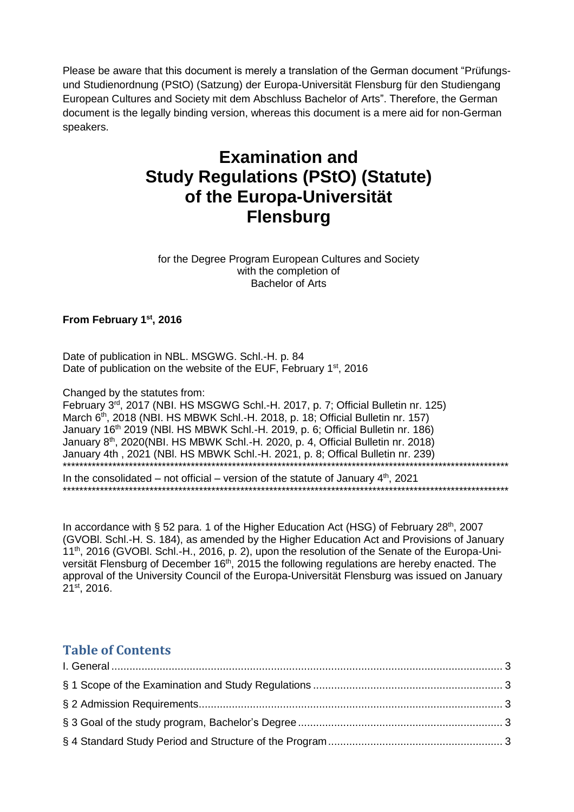Please be aware that this document is merely a translation of the German document "Prüfungsund Studienordnung (PStO) (Satzung) der Europa-Universität Flensburg für den Studiengang European Cultures and Society mit dem Abschluss Bachelor of Arts". Therefore, the German document is the legally binding version, whereas this document is a mere aid for non-German speakers.

# **Examination and Study Regulations (PStO) (Statute) of the Europa-Universität Flensburg**

for the Degree Program European Cultures and Society with the completion of Bachelor of Arts

**From February 1st , 2016**

Date of publication in NBL. MSGWG. Schl.-H. p. 84 Date of publication on the website of the EUF, February 1<sup>st</sup>, 2016

Changed by the statutes from:

February 3rd, 2017 (NBI. HS MSGWG Schl.-H. 2017, p. 7; Official Bulletin nr. 125) March 6<sup>th</sup>, 2018 (NBI. HS MBWK Schl.-H. 2018, p. 18; Official Bulletin nr. 157) January 16<sup>th</sup> 2019 (NBI. HS MBWK Schl.-H. 2019, p. 6; Official Bulletin nr. 186) January 8th, 2020(NBI. HS MBWK Schl.-H. 2020, p. 4, Official Bulletin nr. 2018) January 4th , 2021 (NBl. HS MBWK Schl.-H. 2021, p. 8; Offical Bulletin nr. 239) \*\*\*\*\*\*\*\*\*\*\*\*\*\*\*\*\*\*\*\*\*\*\*\*\*\*\*\*\*\*\*\*\*\*\*\*\*\*\*\*\*\*\*\*\*\*\*\*\*\*\*\*\*\*\*\*\*\*\*\*\*\*\*\*\*\*\*\*\*\*\*\*\*\*\*\*\*\*\*\*\*\*\*\*\*\*\*\*\*\*\*\*\*\*\*\*\*\*\*\*\*\*\*\*\*\*\*\*

In the consolidated – not official – version of the statute of January  $4<sup>th</sup>$ , 2021 \*\*\*\*\*\*\*\*\*\*\*\*\*\*\*\*\*\*\*\*\*\*\*\*\*\*\*\*\*\*\*\*\*\*\*\*\*\*\*\*\*\*\*\*\*\*\*\*\*\*\*\*\*\*\*\*\*\*\*\*\*\*\*\*\*\*\*\*\*\*\*\*\*\*\*\*\*\*\*\*\*\*\*\*\*\*\*\*\*\*\*\*\*\*\*\*\*\*\*\*\*\*\*\*\*\*\*\*

In accordance with § 52 para. 1 of the Higher Education Act (HSG) of February 28<sup>th</sup>, 2007 (GVOBl. Schl.-H. S. 184), as amended by the Higher Education Act and Provisions of January 11<sup>th</sup>, 2016 (GVOBI. Schl.-H., 2016, p. 2), upon the resolution of the Senate of the Europa-Universität Flensburg of December 16<sup>th</sup>, 2015 the following regulations are hereby enacted. The approval of the University Council of the Europa-Universität Flensburg was issued on January 21st, 2016.

# **Table of Contents**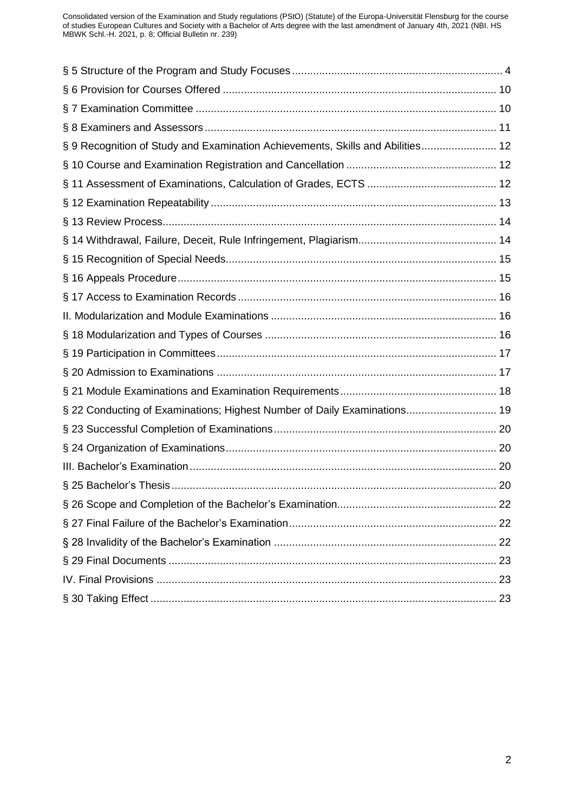| § 9 Recognition of Study and Examination Achievements, Skills and Abilities 12 |  |
|--------------------------------------------------------------------------------|--|
|                                                                                |  |
|                                                                                |  |
|                                                                                |  |
|                                                                                |  |
|                                                                                |  |
|                                                                                |  |
|                                                                                |  |
|                                                                                |  |
|                                                                                |  |
|                                                                                |  |
|                                                                                |  |
|                                                                                |  |
|                                                                                |  |
| § 22 Conducting of Examinations; Highest Number of Daily Examinations 19       |  |
|                                                                                |  |
|                                                                                |  |
|                                                                                |  |
|                                                                                |  |
|                                                                                |  |
|                                                                                |  |
|                                                                                |  |
|                                                                                |  |
|                                                                                |  |
|                                                                                |  |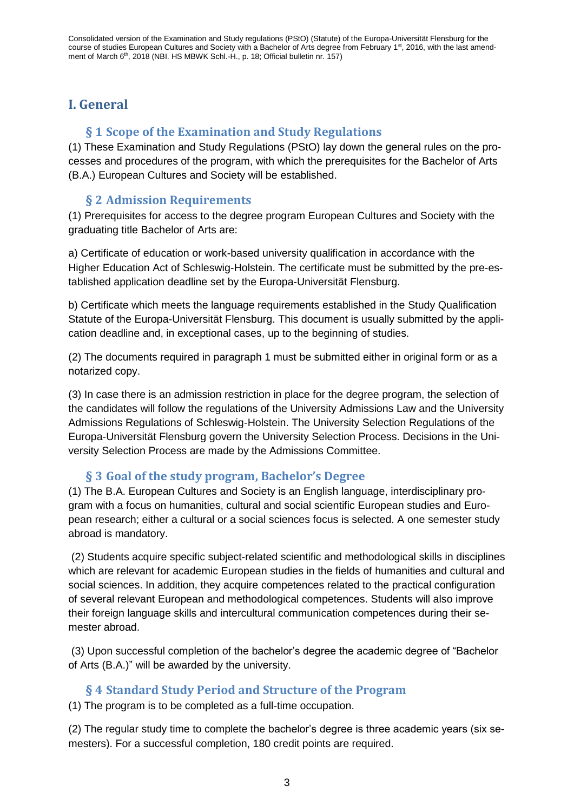# <span id="page-2-1"></span><span id="page-2-0"></span>**I. General**

### **§ 1 Scope of the Examination and Study Regulations**

(1) These Examination and Study Regulations (PStO) lay down the general rules on the processes and procedures of the program, with which the prerequisites for the Bachelor of Arts (B.A.) European Cultures and Society will be established.

#### **§ 2 Admission Requirements**

<span id="page-2-2"></span>(1) Prerequisites for access to the degree program European Cultures and Society with the graduating title Bachelor of Arts are:

a) Certificate of education or work-based university qualification in accordance with the Higher Education Act of Schleswig-Holstein. The certificate must be submitted by the pre-established application deadline set by the Europa-Universität Flensburg.

b) Certificate which meets the language requirements established in the Study Qualification Statute of the Europa-Universität Flensburg. This document is usually submitted by the application deadline and, in exceptional cases, up to the beginning of studies.

(2) The documents required in paragraph 1 must be submitted either in original form or as a notarized copy.

(3) In case there is an admission restriction in place for the degree program, the selection of the candidates will follow the regulations of the University Admissions Law and the University Admissions Regulations of Schleswig-Holstein. The University Selection Regulations of the Europa-Universität Flensburg govern the University Selection Process. Decisions in the University Selection Process are made by the Admissions Committee.

#### **§ 3 Goal of the study program, Bachelor's Degree**

<span id="page-2-3"></span>(1) The B.A. European Cultures and Society is an English language, interdisciplinary program with a focus on humanities, cultural and social scientific European studies and European research; either a cultural or a social sciences focus is selected. A one semester study abroad is mandatory.

(2) Students acquire specific subject-related scientific and methodological skills in disciplines which are relevant for academic European studies in the fields of humanities and cultural and social sciences. In addition, they acquire competences related to the practical configuration of several relevant European and methodological competences. Students will also improve their foreign language skills and intercultural communication competences during their semester abroad.

(3) Upon successful completion of the bachelor's degree the academic degree of "Bachelor of Arts (B.A.)" will be awarded by the university.

#### **§ 4 Standard Study Period and Structure of the Program**

<span id="page-2-4"></span>(1) The program is to be completed as a full-time occupation.

(2) The regular study time to complete the bachelor's degree is three academic years (six semesters). For a successful completion, 180 credit points are required.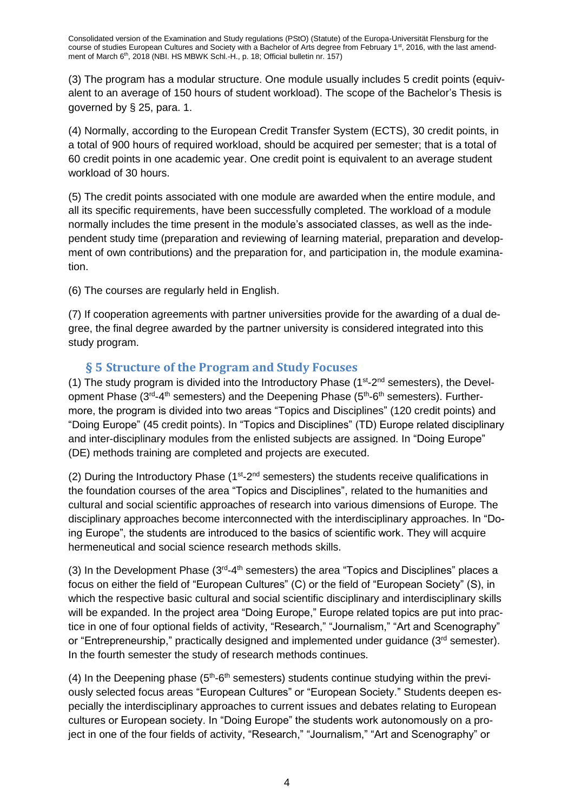(3) The program has a modular structure. One module usually includes 5 credit points (equivalent to an average of 150 hours of student workload). The scope of the Bachelor's Thesis is governed by § 25, para. 1.

(4) Normally, according to the European Credit Transfer System (ECTS), 30 credit points, in a total of 900 hours of required workload, should be acquired per semester; that is a total of 60 credit points in one academic year. One credit point is equivalent to an average student workload of 30 hours.

(5) The credit points associated with one module are awarded when the entire module, and all its specific requirements, have been successfully completed. The workload of a module normally includes the time present in the module's associated classes, as well as the independent study time (preparation and reviewing of learning material, preparation and development of own contributions) and the preparation for, and participation in, the module examination.

(6) The courses are regularly held in English.

(7) If cooperation agreements with partner universities provide for the awarding of a dual degree, the final degree awarded by the partner university is considered integrated into this study program.

#### **§ 5 Structure of the Program and Study Focuses**

<span id="page-3-0"></span>(1) The study program is divided into the Introductory Phase ( $1<sup>st</sup>$ - $2<sup>nd</sup>$  semesters), the Development Phase (3<sup>rd</sup>-4<sup>th</sup> semesters) and the Deepening Phase (5<sup>th</sup>-6<sup>th</sup> semesters). Furthermore, the program is divided into two areas "Topics and Disciplines" (120 credit points) and "Doing Europe" (45 credit points). In "Topics and Disciplines" (TD) Europe related disciplinary and inter-disciplinary modules from the enlisted subjects are assigned. In "Doing Europe" (DE) methods training are completed and projects are executed.

(2) During the Introductory Phase  $(1^{st}-2^{nd}$  semesters) the students receive qualifications in the foundation courses of the area "Topics and Disciplines", related to the humanities and cultural and social scientific approaches of research into various dimensions of Europe. The disciplinary approaches become interconnected with the interdisciplinary approaches. In "Doing Europe", the students are introduced to the basics of scientific work. They will acquire hermeneutical and social science research methods skills.

(3) In the Development Phase  $(3<sup>rd</sup>-4<sup>th</sup>$  semesters) the area "Topics and Disciplines" places a focus on either the field of "European Cultures" (C) or the field of "European Society" (S), in which the respective basic cultural and social scientific disciplinary and interdisciplinary skills will be expanded. In the project area "Doing Europe," Europe related topics are put into practice in one of four optional fields of activity, "Research," "Journalism," "Art and Scenography" or "Entrepreneurship," practically designed and implemented under quidance  $(3<sup>rd</sup>$  semester). In the fourth semester the study of research methods continues.

(4) In the Deepening phase  $(5<sup>th</sup>-6<sup>th</sup>$  semesters) students continue studying within the previously selected focus areas "European Cultures" or "European Society." Students deepen especially the interdisciplinary approaches to current issues and debates relating to European cultures or European society. In "Doing Europe" the students work autonomously on a project in one of the four fields of activity, "Research," "Journalism," "Art and Scenography" or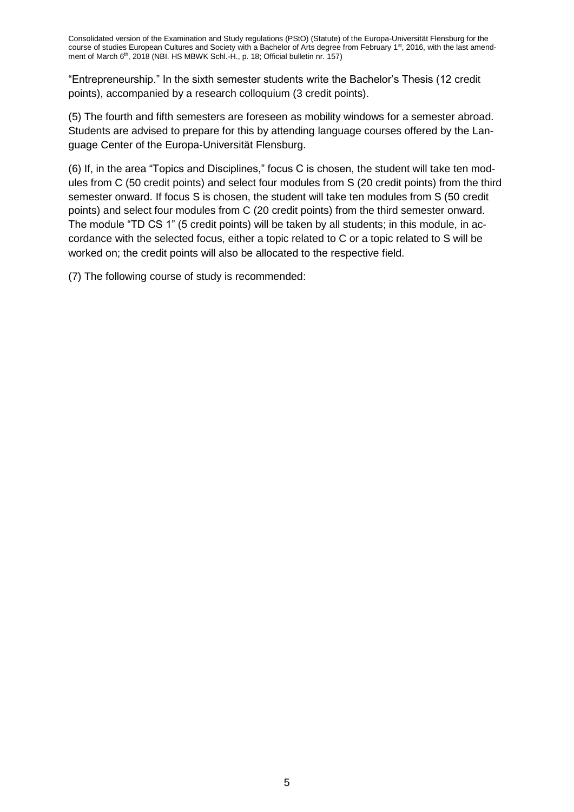"Entrepreneurship." In the sixth semester students write the Bachelor's Thesis (12 credit points), accompanied by a research colloquium (3 credit points).

(5) The fourth and fifth semesters are foreseen as mobility windows for a semester abroad. Students are advised to prepare for this by attending language courses offered by the Language Center of the Europa-Universität Flensburg.

(6) If, in the area "Topics and Disciplines," focus C is chosen, the student will take ten modules from C (50 credit points) and select four modules from S (20 credit points) from the third semester onward. If focus S is chosen, the student will take ten modules from S (50 credit points) and select four modules from C (20 credit points) from the third semester onward. The module "TD CS 1" (5 credit points) will be taken by all students; in this module, in accordance with the selected focus, either a topic related to C or a topic related to S will be worked on; the credit points will also be allocated to the respective field.

(7) The following course of study is recommended: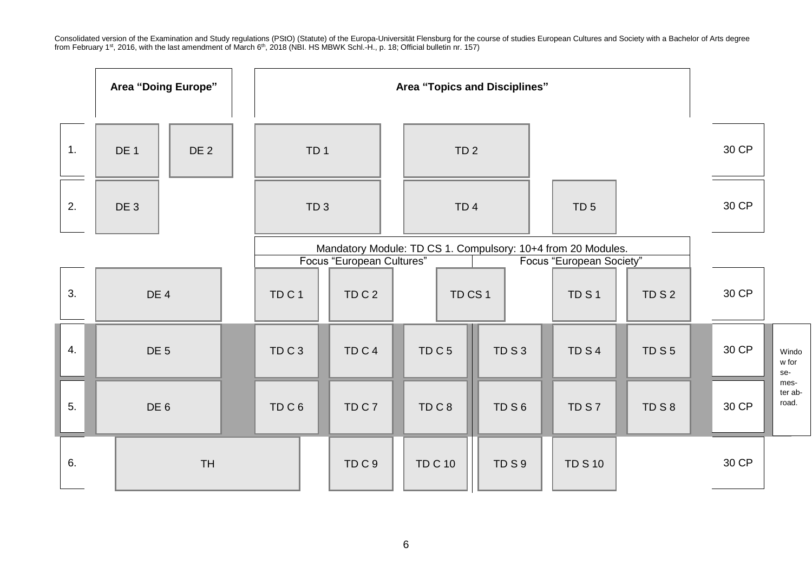|    | <b>Area "Doing Europe"</b> |                 | <b>Area "Topics and Disciplines"</b> |                                                                                                                       |                   |  |                   |      |                  |      |       |                          |
|----|----------------------------|-----------------|--------------------------------------|-----------------------------------------------------------------------------------------------------------------------|-------------------|--|-------------------|------|------------------|------|-------|--------------------------|
| 1. | DE 1                       | DE <sub>2</sub> |                                      | TD <sub>1</sub>                                                                                                       |                   |  | TD <sub>2</sub>   |      |                  |      | 30 CP |                          |
| 2. | DE 3                       |                 |                                      | TD <sub>3</sub>                                                                                                       |                   |  | TD <sub>4</sub>   |      | TD <sub>5</sub>  |      | 30 CP |                          |
|    |                            |                 |                                      | Mandatory Module: TD CS 1. Compulsory: 10+4 from 20 Modules.<br>Focus "European Cultures"<br>Focus "European Society" |                   |  |                   |      |                  |      |       |                          |
| 3. | DE <sub>4</sub>            |                 | TD <sub>C</sub> 1                    |                                                                                                                       | TDC <sub>2</sub>  |  | TD CS 1           |      | TD <sub>S1</sub> | TDS2 | 30 CP |                          |
| 4. | DE <sub>5</sub>            |                 | TDC3                                 |                                                                                                                       | TD <sub>C</sub> 4 |  | TD <sub>C</sub> 5 | TDS3 | TD <sub>S4</sub> | TDS5 | 30 CP | Windo<br>w for<br>se-    |
| 5. | DE <sub>6</sub>            |                 | TDC6                                 |                                                                                                                       | TDC7              |  | TDC8              | TDS6 | TDS7             | TDS8 | 30 CP | mes-<br>ter ab-<br>road. |
| 6. |                            | <b>TH</b>       |                                      |                                                                                                                       | TDC9              |  | <b>TD C 10</b>    | TDS9 | <b>TD S 10</b>   |      | 30 CP |                          |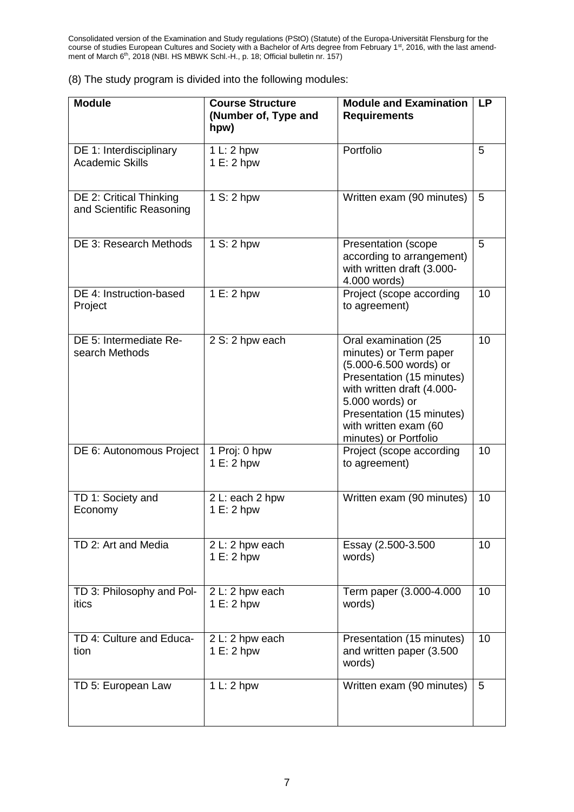|  | (8) The study program is divided into the following modules: |  |  |
|--|--------------------------------------------------------------|--|--|
|  |                                                              |  |  |

| <b>Module</b>                                       | <b>Course Structure</b><br>(Number of, Type and<br>hpw) | <b>Module and Examination</b><br><b>Requirements</b>                                                                                                                                                                                  | <b>LP</b> |
|-----------------------------------------------------|---------------------------------------------------------|---------------------------------------------------------------------------------------------------------------------------------------------------------------------------------------------------------------------------------------|-----------|
| DE 1: Interdisciplinary<br><b>Academic Skills</b>   | 1 L: 2 hpw<br>1 E: 2 hpw                                | Portfolio                                                                                                                                                                                                                             | 5         |
| DE 2: Critical Thinking<br>and Scientific Reasoning | 1 S: 2 hpw                                              | Written exam (90 minutes)                                                                                                                                                                                                             | 5         |
| DE 3: Research Methods                              | 1 S: 2 hpw                                              | Presentation (scope<br>according to arrangement)<br>with written draft (3.000-<br>4.000 words)                                                                                                                                        | 5         |
| DE 4: Instruction-based<br>Project                  | 1 E: 2 hpw                                              | Project (scope according<br>to agreement)                                                                                                                                                                                             | 10        |
| DE 5: Intermediate Re-<br>search Methods            | 2 S: 2 hpw each                                         | Oral examination (25<br>minutes) or Term paper<br>(5.000-6.500 words) or<br>Presentation (15 minutes)<br>with written draft (4.000-<br>5.000 words) or<br>Presentation (15 minutes)<br>with written exam (60<br>minutes) or Portfolio | 10        |
| DE 6: Autonomous Project                            | 1 Proj: 0 hpw<br>1 E: 2 hpw                             | Project (scope according<br>to agreement)                                                                                                                                                                                             | 10        |
| TD 1: Society and<br>Economy                        | 2 L: each 2 hpw<br>1 E: 2 hpw                           | Written exam (90 minutes)                                                                                                                                                                                                             | 10        |
| TD 2: Art and Media                                 | 2 L: 2 hpw each<br>1 E: 2 hpw                           | Essay (2.500-3.500<br>words)                                                                                                                                                                                                          | 10        |
| TD 3: Philosophy and Pol-<br>itics                  | 2 L: 2 hpw each<br>1 E: 2 hpw                           | Term paper (3.000-4.000<br>words)                                                                                                                                                                                                     | 10        |
| TD 4: Culture and Educa-<br>tion                    | 2 L: 2 hpw each<br>1 E: 2 hpw                           | Presentation (15 minutes)<br>and written paper (3.500<br>words)                                                                                                                                                                       | 10        |
| TD 5: European Law                                  | 1 L: 2 hpw                                              | Written exam (90 minutes)                                                                                                                                                                                                             | 5         |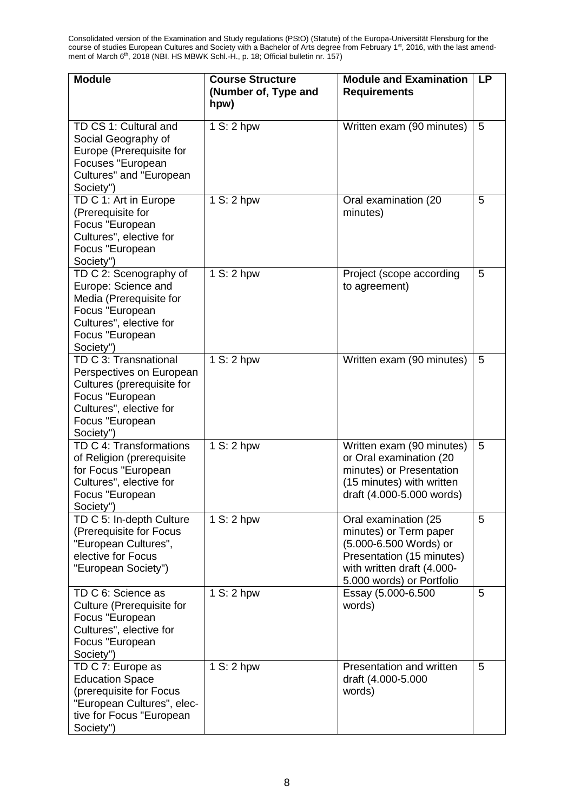| <b>Module</b>                                                                                                                                                 | <b>Course Structure</b><br>(Number of, Type and<br>hpw) | <b>Module and Examination</b><br><b>Requirements</b>                                                                                                             | <b>LP</b> |
|---------------------------------------------------------------------------------------------------------------------------------------------------------------|---------------------------------------------------------|------------------------------------------------------------------------------------------------------------------------------------------------------------------|-----------|
| TD CS 1: Cultural and<br>Social Geography of<br>Europe (Prerequisite for<br>Focuses "European<br>Cultures" and "European<br>Society")                         | 1 S: 2 hpw                                              | Written exam (90 minutes)                                                                                                                                        | 5         |
| TD C 1: Art in Europe<br>(Prerequisite for<br>Focus "European<br>Cultures", elective for<br>Focus "European<br>Society")                                      | 1 S: 2 hpw                                              | Oral examination (20<br>minutes)                                                                                                                                 | 5         |
| TD C 2: Scenography of<br>Europe: Science and<br>Media (Prerequisite for<br>Focus "European<br>Cultures", elective for<br>Focus "European<br>Society")        | 1 S: 2 hpw                                              | Project (scope according<br>to agreement)                                                                                                                        | 5         |
| TD C 3: Transnational<br>Perspectives on European<br>Cultures (prerequisite for<br>Focus "European<br>Cultures", elective for<br>Focus "European<br>Society") | 1 S: 2 hpw                                              | Written exam (90 minutes)                                                                                                                                        | 5         |
| TD C 4: Transformations<br>of Religion (prerequisite<br>for Focus "European<br>Cultures", elective for<br>Focus "European<br>Society")                        | 1 S: 2 hpw                                              | Written exam (90 minutes)<br>or Oral examination (20<br>minutes) or Presentation<br>(15 minutes) with written<br>draft (4.000-5.000 words)                       | 5         |
| TD C 5: In-depth Culture<br>(Prerequisite for Focus<br>"European Cultures",<br>elective for Focus<br>"European Society")                                      | 1 S: 2 hpw                                              | Oral examination (25<br>minutes) or Term paper<br>(5.000-6.500 Words) or<br>Presentation (15 minutes)<br>with written draft (4.000-<br>5.000 words) or Portfolio | 5         |
| TD C 6: Science as<br>Culture (Prerequisite for<br>Focus "European<br>Cultures", elective for<br>Focus "European<br>Society")                                 | 1 S: 2 hpw                                              | Essay (5.000-6.500<br>words)                                                                                                                                     | 5         |
| TD C 7: Europe as<br><b>Education Space</b><br>(prerequisite for Focus<br>"European Cultures", elec-<br>tive for Focus "European<br>Society")                 | 1 S: 2 hpw                                              | Presentation and written<br>draft (4.000-5.000<br>words)                                                                                                         | 5         |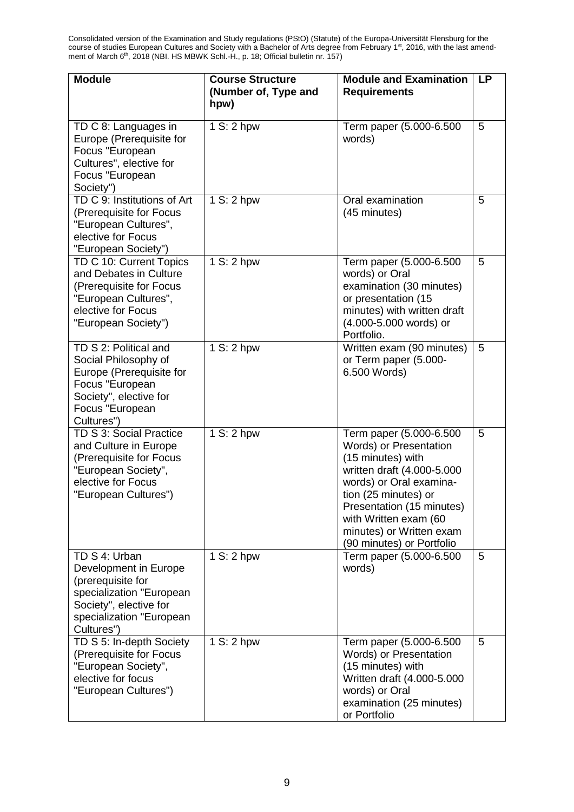| <b>Module</b>                                                                                                                                               | <b>Course Structure</b><br>(Number of, Type and<br>hpw) | <b>Module and Examination</b><br><b>Requirements</b>                                                                                                                                                                                                                   | <b>LP</b> |
|-------------------------------------------------------------------------------------------------------------------------------------------------------------|---------------------------------------------------------|------------------------------------------------------------------------------------------------------------------------------------------------------------------------------------------------------------------------------------------------------------------------|-----------|
| TD C 8: Languages in<br>Europe (Prerequisite for<br>Focus "European<br>Cultures", elective for<br>Focus "European<br>Society")                              | 1 S: 2 hpw                                              | Term paper (5.000-6.500<br>words)                                                                                                                                                                                                                                      | 5         |
| TD C 9: Institutions of Art<br>(Prerequisite for Focus<br>"European Cultures",<br>elective for Focus<br>"European Society")                                 | 1 S: 2 hpw                                              | Oral examination<br>(45 minutes)                                                                                                                                                                                                                                       | 5         |
| TD C 10: Current Topics<br>and Debates in Culture<br>(Prerequisite for Focus<br>"European Cultures",<br>elective for Focus<br>"European Society")           | 1 S: 2 hpw                                              | Term paper (5.000-6.500<br>words) or Oral<br>examination (30 minutes)<br>or presentation (15<br>minutes) with written draft<br>(4.000-5.000 words) or<br>Portfolio.                                                                                                    | 5         |
| TD S 2: Political and<br>Social Philosophy of<br>Europe (Prerequisite for<br>Focus "European<br>Society", elective for<br>Focus "European<br>Cultures")     | 1 S: 2 hpw                                              | Written exam (90 minutes)<br>or Term paper (5.000-<br>6.500 Words)                                                                                                                                                                                                     | 5         |
| TD S 3: Social Practice<br>and Culture in Europe<br>(Prerequisite for Focus<br>"European Society",<br>elective for Focus<br>"European Cultures")            | 1 S: 2 hpw                                              | Term paper (5.000-6.500<br>Words) or Presentation<br>(15 minutes) with<br>written draft (4.000-5.000<br>words) or Oral examina-<br>tion (25 minutes) or<br>Presentation (15 minutes)<br>with Written exam (60<br>minutes) or Written exam<br>(90 minutes) or Portfolio | 5         |
| TD S 4: Urban<br>Development in Europe<br>(prerequisite for<br>specialization "European<br>Society", elective for<br>specialization "European<br>Cultures") | 1 S: 2 hpw                                              | Term paper (5.000-6.500<br>words)                                                                                                                                                                                                                                      | 5         |
| TD S 5: In-depth Society<br>(Prerequisite for Focus<br>"European Society",<br>elective for focus<br>"European Cultures")                                    | 1 S: 2 hpw                                              | Term paper (5.000-6.500<br>Words) or Presentation<br>(15 minutes) with<br>Written draft (4.000-5.000<br>words) or Oral<br>examination (25 minutes)<br>or Portfolio                                                                                                     | 5         |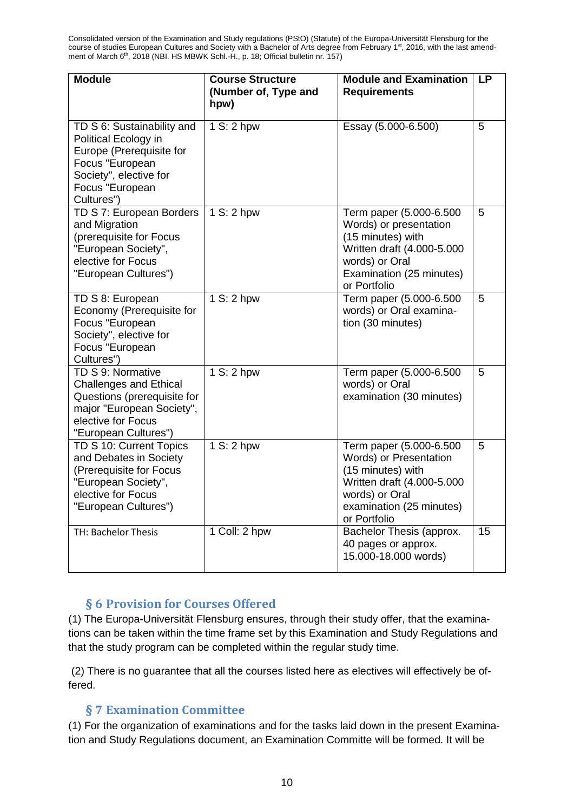| <b>Module</b>                                                                                                                                                | <b>Course Structure</b><br>(Number of, Type and<br>hpw) | <b>Module and Examination</b><br><b>Requirements</b>                                                                                                               | <b>LP</b> |
|--------------------------------------------------------------------------------------------------------------------------------------------------------------|---------------------------------------------------------|--------------------------------------------------------------------------------------------------------------------------------------------------------------------|-----------|
| TD S 6: Sustainability and<br>Political Ecology in<br>Europe (Prerequisite for<br>Focus "European<br>Society", elective for<br>Focus "European<br>Cultures") | 1 S: 2 hpw                                              | Essay (5.000-6.500)                                                                                                                                                | 5         |
| TD S 7: European Borders<br>and Migration<br>(prerequisite for Focus<br>"European Society",<br>elective for Focus<br>"European Cultures")                    | 1 S: 2 hpw                                              | Term paper (5.000-6.500<br>Words) or presentation<br>(15 minutes) with<br>Written draft (4.000-5.000<br>words) or Oral<br>Examination (25 minutes)<br>or Portfolio | 5         |
| TD S 8: European<br>Economy (Prerequisite for<br>Focus "European<br>Society", elective for<br>Focus "European<br>Cultures")                                  | 1 S: 2 hpw                                              | Term paper (5.000-6.500<br>words) or Oral examina-<br>tion (30 minutes)                                                                                            | 5         |
| TD S 9: Normative<br><b>Challenges and Ethical</b><br>Questions (prerequisite for<br>major "European Society",<br>elective for Focus<br>"European Cultures") | 1 S: 2 hpw                                              | Term paper (5.000-6.500<br>words) or Oral<br>examination (30 minutes)                                                                                              | 5         |
| TD S 10: Current Topics<br>and Debates in Society<br>(Prerequisite for Focus<br>"European Society",<br>elective for Focus<br>"European Cultures")            | 1 S: 2 hpw                                              | Term paper (5.000-6.500<br>Words) or Presentation<br>(15 minutes) with<br>Written draft (4.000-5.000<br>words) or Oral<br>examination (25 minutes)<br>or Portfolio | 5         |
| <b>TH: Bachelor Thesis</b>                                                                                                                                   | 1 Coll: 2 hpw                                           | Bachelor Thesis (approx.<br>40 pages or approx.<br>15.000-18.000 words)                                                                                            | 15        |

#### **§ 6 Provision for Courses Offered**

<span id="page-9-0"></span>(1) The Europa-Universität Flensburg ensures, through their study offer, that the examinations can be taken within the time frame set by this Examination and Study Regulations and that the study program can be completed within the regular study time.

(2) There is no guarantee that all the courses listed here as electives will effectively be offered.

#### **§ 7 Examination Committee**

<span id="page-9-1"></span>(1) For the organization of examinations and for the tasks laid down in the present Examination and Study Regulations document, an Examination Committe will be formed. It will be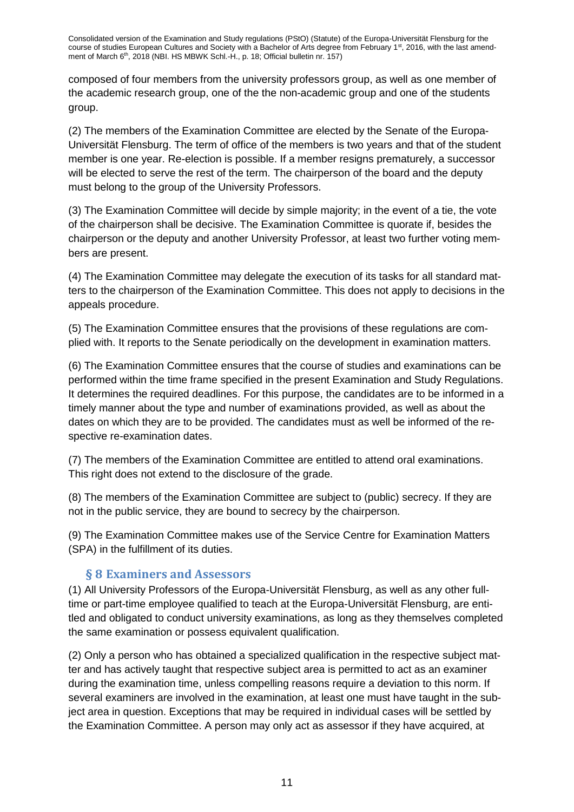composed of four members from the university professors group, as well as one member of the academic research group, one of the the non-academic group and one of the students group.

(2) The members of the Examination Committee are elected by the Senate of the Europa-Universität Flensburg. The term of office of the members is two years and that of the student member is one year. Re-election is possible. If a member resigns prematurely, a successor will be elected to serve the rest of the term. The chairperson of the board and the deputy must belong to the group of the University Professors.

(3) The Examination Committee will decide by simple majority; in the event of a tie, the vote of the chairperson shall be decisive. The Examination Committee is quorate if, besides the chairperson or the deputy and another University Professor, at least two further voting members are present.

(4) The Examination Committee may delegate the execution of its tasks for all standard matters to the chairperson of the Examination Committee. This does not apply to decisions in the appeals procedure.

(5) The Examination Committee ensures that the provisions of these regulations are complied with. It reports to the Senate periodically on the development in examination matters.

(6) The Examination Committee ensures that the course of studies and examinations can be performed within the time frame specified in the present Examination and Study Regulations. It determines the required deadlines. For this purpose, the candidates are to be informed in a timely manner about the type and number of examinations provided, as well as about the dates on which they are to be provided. The candidates must as well be informed of the respective re-examination dates.

(7) The members of the Examination Committee are entitled to attend oral examinations. This right does not extend to the disclosure of the grade.

(8) The members of the Examination Committee are subject to (public) secrecy. If they are not in the public service, they are bound to secrecy by the chairperson.

(9) The Examination Committee makes use of the Service Centre for Examination Matters (SPA) in the fulfillment of its duties.

#### **§ 8 Examiners and Assessors**

<span id="page-10-0"></span>(1) All University Professors of the Europa-Universität Flensburg, as well as any other fulltime or part-time employee qualified to teach at the Europa-Universität Flensburg, are entitled and obligated to conduct university examinations, as long as they themselves completed the same examination or possess equivalent qualification.

(2) Only a person who has obtained a specialized qualification in the respective subject matter and has actively taught that respective subject area is permitted to act as an examiner during the examination time, unless compelling reasons require a deviation to this norm. If several examiners are involved in the examination, at least one must have taught in the subject area in question. Exceptions that may be required in individual cases will be settled by the Examination Committee. A person may only act as assessor if they have acquired, at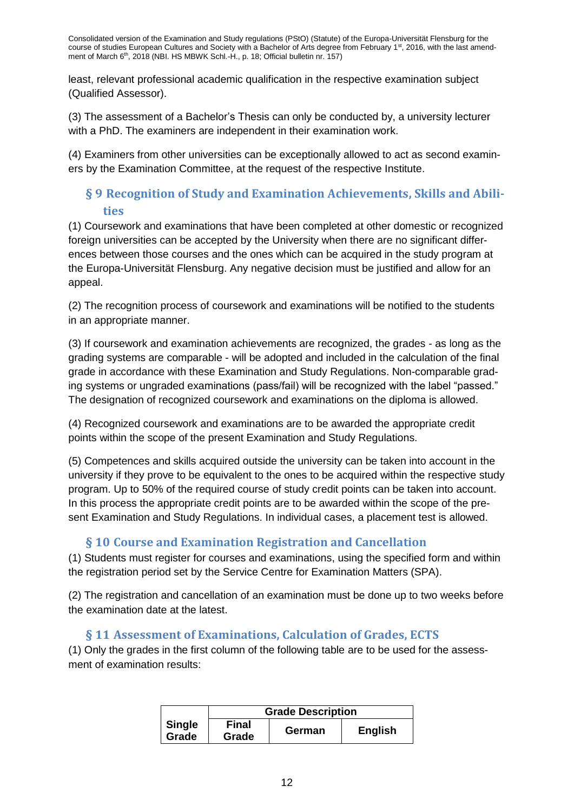least, relevant professional academic qualification in the respective examination subject (Qualified Assessor).

(3) The assessment of a Bachelor's Thesis can only be conducted by, a university lecturer with a PhD. The examiners are independent in their examination work.

(4) Examiners from other universities can be exceptionally allowed to act as second examiners by the Examination Committee, at the request of the respective Institute.

# <span id="page-11-0"></span>**§ 9 Recognition of Study and Examination Achievements, Skills and Abilities**

(1) Coursework and examinations that have been completed at other domestic or recognized foreign universities can be accepted by the University when there are no significant differences between those courses and the ones which can be acquired in the study program at the Europa-Universität Flensburg. Any negative decision must be justified and allow for an appeal.

(2) The recognition process of coursework and examinations will be notified to the students in an appropriate manner.

(3) If coursework and examination achievements are recognized, the grades - as long as the grading systems are comparable - will be adopted and included in the calculation of the final grade in accordance with these Examination and Study Regulations. Non-comparable grading systems or ungraded examinations (pass/fail) will be recognized with the label "passed." The designation of recognized coursework and examinations on the diploma is allowed.

(4) Recognized coursework and examinations are to be awarded the appropriate credit points within the scope of the present Examination and Study Regulations.

(5) Competences and skills acquired outside the university can be taken into account in the university if they prove to be equivalent to the ones to be acquired within the respective study program. Up to 50% of the required course of study credit points can be taken into account. In this process the appropriate credit points are to be awarded within the scope of the present Examination and Study Regulations. In individual cases, a placement test is allowed.

# **§ 10 Course and Examination Registration and Cancellation**

<span id="page-11-1"></span>(1) Students must register for courses and examinations, using the specified form and within the registration period set by the Service Centre for Examination Matters (SPA).

(2) The registration and cancellation of an examination must be done up to two weeks before the examination date at the latest.

# **§ 11 Assessment of Examinations, Calculation of Grades, ECTS**

<span id="page-11-2"></span>(1) Only the grades in the first column of the following table are to be used for the assessment of examination results:

|                        | <b>Grade Description</b> |        |                |  |  |  |  |
|------------------------|--------------------------|--------|----------------|--|--|--|--|
| <b>Single</b><br>Grade | Final<br>Grade           | German | <b>English</b> |  |  |  |  |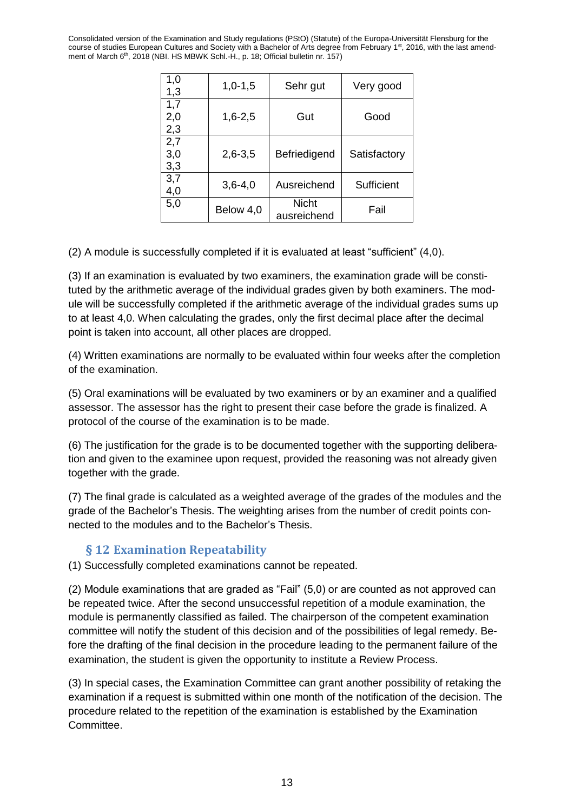| 1,0<br>1,3        | $1,0-1,5$   | Sehr gut                    | Very good    |
|-------------------|-------------|-----------------------------|--------------|
| 1,7<br>2,0<br>2,3 | $1,6 - 2,5$ | Gut                         | Good         |
| 2,7<br>3,0<br>3,3 | $2,6 - 3,5$ | Befriedigend                | Satisfactory |
| 3,7<br>4,0        | $3,6 - 4,0$ | Ausreichend                 | Sufficient   |
| 5,0               | Below 4,0   | <b>Nicht</b><br>ausreichend | Fail         |

(2) A module is successfully completed if it is evaluated at least "sufficient" (4,0).

(3) If an examination is evaluated by two examiners, the examination grade will be constituted by the arithmetic average of the individual grades given by both examiners. The module will be successfully completed if the arithmetic average of the individual grades sums up to at least 4,0. When calculating the grades, only the first decimal place after the decimal point is taken into account, all other places are dropped.

(4) Written examinations are normally to be evaluated within four weeks after the completion of the examination.

(5) Oral examinations will be evaluated by two examiners or by an examiner and a qualified assessor. The assessor has the right to present their case before the grade is finalized. A protocol of the course of the examination is to be made.

(6) The justification for the grade is to be documented together with the supporting deliberation and given to the examinee upon request, provided the reasoning was not already given together with the grade.

(7) The final grade is calculated as a weighted average of the grades of the modules and the grade of the Bachelor's Thesis. The weighting arises from the number of credit points connected to the modules and to the Bachelor's Thesis.

#### **§ 12 Examination Repeatability**

<span id="page-12-0"></span>(1) Successfully completed examinations cannot be repeated.

(2) Module examinations that are graded as "Fail" (5,0) or are counted as not approved can be repeated twice. After the second unsuccessful repetition of a module examination, the module is permanently classified as failed. The chairperson of the competent examination committee will notify the student of this decision and of the possibilities of legal remedy. Before the drafting of the final decision in the procedure leading to the permanent failure of the examination, the student is given the opportunity to institute a Review Process.

(3) In special cases, the Examination Committee can grant another possibility of retaking the examination if a request is submitted within one month of the notification of the decision. The procedure related to the repetition of the examination is established by the Examination Committee.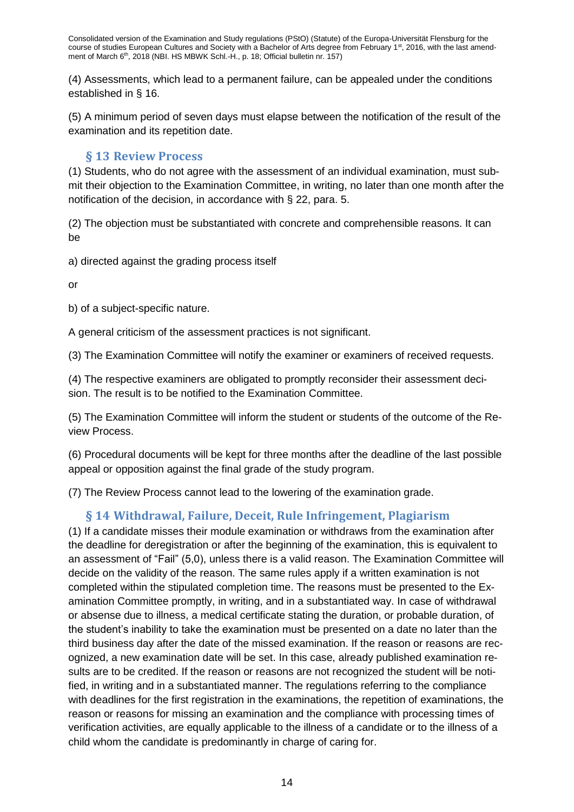(4) Assessments, which lead to a permanent failure, can be appealed under the conditions established in § 16.

(5) A minimum period of seven days must elapse between the notification of the result of the examination and its repetition date.

# **§ 13 Review Process**

<span id="page-13-0"></span>(1) Students, who do not agree with the assessment of an individual examination, must submit their objection to the Examination Committee, in writing, no later than one month after the notification of the decision, in accordance with § 22, para. 5.

(2) The objection must be substantiated with concrete and comprehensible reasons. It can be

a) directed against the grading process itself

or

b) of a subject-specific nature.

A general criticism of the assessment practices is not significant.

(3) The Examination Committee will notify the examiner or examiners of received requests.

(4) The respective examiners are obligated to promptly reconsider their assessment decision. The result is to be notified to the Examination Committee.

(5) The Examination Committee will inform the student or students of the outcome of the Review Process.

(6) Procedural documents will be kept for three months after the deadline of the last possible appeal or opposition against the final grade of the study program.

<span id="page-13-1"></span>(7) The Review Process cannot lead to the lowering of the examination grade.

# **§ 14 Withdrawal, Failure, Deceit, Rule Infringement, Plagiarism**

(1) If a candidate misses their module examination or withdraws from the examination after the deadline for deregistration or after the beginning of the examination, this is equivalent to an assessment of "Fail" (5,0), unless there is a valid reason. The Examination Committee will decide on the validity of the reason. The same rules apply if a written examination is not completed within the stipulated completion time. The reasons must be presented to the Examination Committee promptly, in writing, and in a substantiated way. In case of withdrawal or absense due to illness, a medical certificate stating the duration, or probable duration, of the student's inability to take the examination must be presented on a date no later than the third business day after the date of the missed examination. If the reason or reasons are recognized, a new examination date will be set. In this case, already published examination results are to be credited. If the reason or reasons are not recognized the student will be notified, in writing and in a substantiated manner. The regulations referring to the compliance with deadlines for the first registration in the examinations, the repetition of examinations, the reason or reasons for missing an examination and the compliance with processing times of verification activities, are equally applicable to the illness of a candidate or to the illness of a child whom the candidate is predominantly in charge of caring for.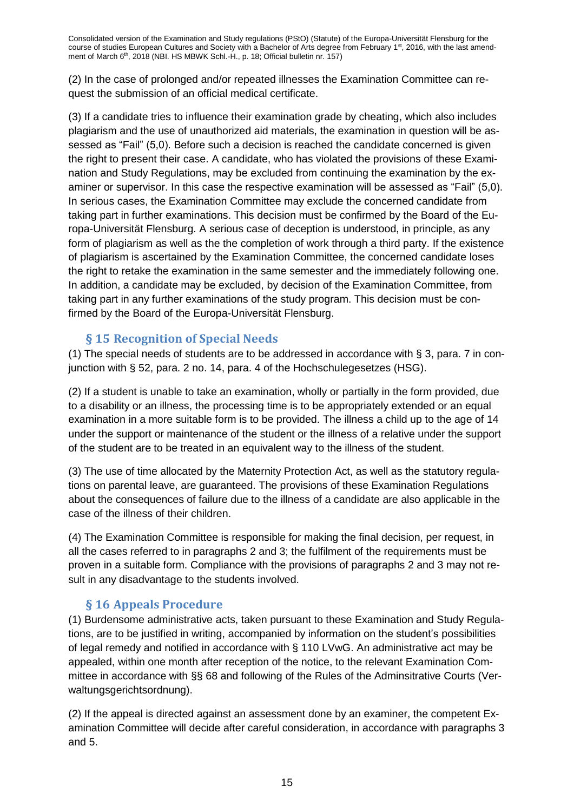(2) In the case of prolonged and/or repeated illnesses the Examination Committee can request the submission of an official medical certificate.

(3) If a candidate tries to influence their examination grade by cheating, which also includes plagiarism and the use of unauthorized aid materials, the examination in question will be assessed as "Fail" (5,0). Before such a decision is reached the candidate concerned is given the right to present their case. A candidate, who has violated the provisions of these Examination and Study Regulations, may be excluded from continuing the examination by the examiner or supervisor. In this case the respective examination will be assessed as "Fail" (5,0). In serious cases, the Examination Committee may exclude the concerned candidate from taking part in further examinations. This decision must be confirmed by the Board of the Europa-Universität Flensburg. A serious case of deception is understood, in principle, as any form of plagiarism as well as the the completion of work through a third party. If the existence of plagiarism is ascertained by the Examination Committee, the concerned candidate loses the right to retake the examination in the same semester and the immediately following one. In addition, a candidate may be excluded, by decision of the Examination Committee, from taking part in any further examinations of the study program. This decision must be confirmed by the Board of the Europa-Universität Flensburg.

#### **§ 15 Recognition of Special Needs**

<span id="page-14-0"></span>(1) The special needs of students are to be addressed in accordance with § 3, para. 7 in conjunction with § 52, para. 2 no. 14, para. 4 of the Hochschulegesetzes (HSG).

(2) If a student is unable to take an examination, wholly or partially in the form provided, due to a disability or an illness, the processing time is to be appropriately extended or an equal examination in a more suitable form is to be provided. The illness a child up to the age of 14 under the support or maintenance of the student or the illness of a relative under the support of the student are to be treated in an equivalent way to the illness of the student.

(3) The use of time allocated by the Maternity Protection Act, as well as the statutory regulations on parental leave, are guaranteed. The provisions of these Examination Regulations about the consequences of failure due to the illness of a candidate are also applicable in the case of the illness of their children.

(4) The Examination Committee is responsible for making the final decision, per request, in all the cases referred to in paragraphs 2 and 3; the fulfilment of the requirements must be proven in a suitable form. Compliance with the provisions of paragraphs 2 and 3 may not result in any disadvantage to the students involved.

# **§ 16 Appeals Procedure**

<span id="page-14-1"></span>(1) Burdensome administrative acts, taken pursuant to these Examination and Study Regulations, are to be justified in writing, accompanied by information on the student's possibilities of legal remedy and notified in accordance with § 110 LVwG. An administrative act may be appealed, within one month after reception of the notice, to the relevant Examination Committee in accordance with §§ 68 and following of the Rules of the Adminsitrative Courts (Verwaltungsgerichtsordnung).

(2) If the appeal is directed against an assessment done by an examiner, the competent Examination Committee will decide after careful consideration, in accordance with paragraphs 3 and 5.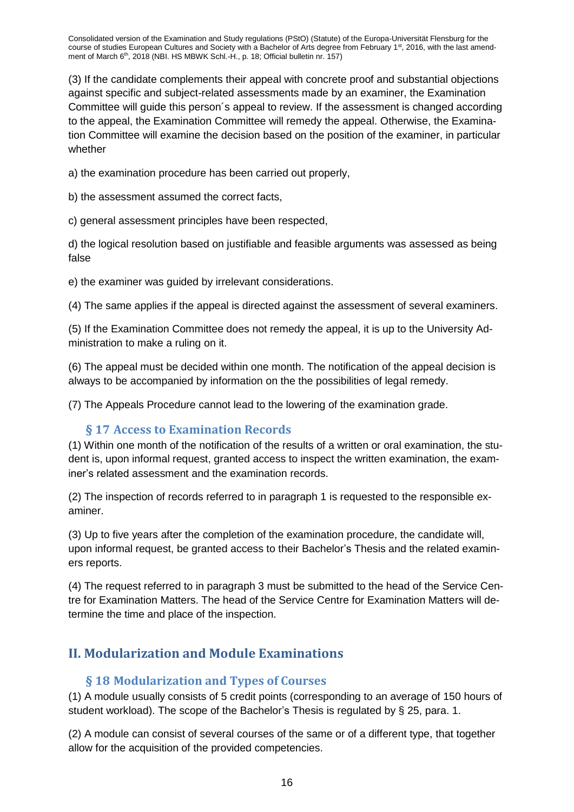(3) If the candidate complements their appeal with concrete proof and substantial objections against specific and subject-related assessments made by an examiner, the Examination Committee will guide this person´s appeal to review. If the assessment is changed according to the appeal, the Examination Committee will remedy the appeal. Otherwise, the Examination Committee will examine the decision based on the position of the examiner, in particular whether

a) the examination procedure has been carried out properly,

b) the assessment assumed the correct facts,

c) general assessment principles have been respected,

d) the logical resolution based on justifiable and feasible arguments was assessed as being false

e) the examiner was guided by irrelevant considerations.

(4) The same applies if the appeal is directed against the assessment of several examiners.

(5) If the Examination Committee does not remedy the appeal, it is up to the University Administration to make a ruling on it.

(6) The appeal must be decided within one month. The notification of the appeal decision is always to be accompanied by information on the the possibilities of legal remedy.

(7) The Appeals Procedure cannot lead to the lowering of the examination grade.

#### **§ 17 Access to Examination Records**

<span id="page-15-0"></span>(1) Within one month of the notification of the results of a written or oral examination, the student is, upon informal request, granted access to inspect the written examination, the examiner's related assessment and the examination records.

(2) The inspection of records referred to in paragraph 1 is requested to the responsible examiner.

(3) Up to five years after the completion of the examination procedure, the candidate will, upon informal request, be granted access to their Bachelor's Thesis and the related examiners reports.

(4) The request referred to in paragraph 3 must be submitted to the head of the Service Centre for Examination Matters. The head of the Service Centre for Examination Matters will determine the time and place of the inspection.

# <span id="page-15-2"></span><span id="page-15-1"></span>**II. Modularization and Module Examinations**

#### **§ 18 Modularization and Types of Courses**

(1) A module usually consists of 5 credit points (corresponding to an average of 150 hours of student workload). The scope of the Bachelor's Thesis is regulated by § 25, para. 1.

(2) A module can consist of several courses of the same or of a different type, that together allow for the acquisition of the provided competencies.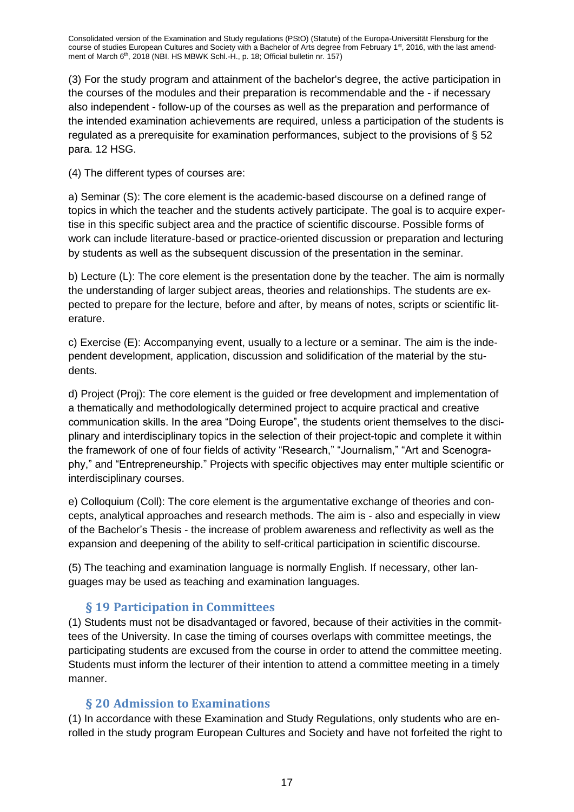(3) For the study program and attainment of the bachelor's degree, the active participation in the courses of the modules and their preparation is recommendable and the - if necessary also independent - follow-up of the courses as well as the preparation and performance of the intended examination achievements are required, unless a participation of the students is regulated as a prerequisite for examination performances, subject to the provisions of § 52 para. 12 HSG.

(4) The different types of courses are:

a) Seminar (S): The core element is the academic-based discourse on a defined range of topics in which the teacher and the students actively participate. The goal is to acquire expertise in this specific subject area and the practice of scientific discourse. Possible forms of work can include literature-based or practice-oriented discussion or preparation and lecturing by students as well as the subsequent discussion of the presentation in the seminar.

b) Lecture (L): The core element is the presentation done by the teacher. The aim is normally the understanding of larger subject areas, theories and relationships. The students are expected to prepare for the lecture, before and after, by means of notes, scripts or scientific literature.

c) Exercise (E): Accompanying event, usually to a lecture or a seminar. The aim is the independent development, application, discussion and solidification of the material by the students.

d) Project (Proj): The core element is the guided or free development and implementation of a thematically and methodologically determined project to acquire practical and creative communication skills. In the area "Doing Europe", the students orient themselves to the disciplinary and interdisciplinary topics in the selection of their project-topic and complete it within the framework of one of four fields of activity "Research," "Journalism," "Art and Scenography," and "Entrepreneurship." Projects with specific objectives may enter multiple scientific or interdisciplinary courses.

e) Colloquium (Coll): The core element is the argumentative exchange of theories and concepts, analytical approaches and research methods. The aim is - also and especially in view of the Bachelor's Thesis - the increase of problem awareness and reflectivity as well as the expansion and deepening of the ability to self-critical participation in scientific discourse.

(5) The teaching and examination language is normally English. If necessary, other languages may be used as teaching and examination languages.

# **§ 19 Participation in Committees**

<span id="page-16-0"></span>(1) Students must not be disadvantaged or favored, because of their activities in the committees of the University. In case the timing of courses overlaps with committee meetings, the participating students are excused from the course in order to attend the committee meeting. Students must inform the lecturer of their intention to attend a committee meeting in a timely manner.

# **§ 20 Admission to Examinations**

<span id="page-16-1"></span>(1) In accordance with these Examination and Study Regulations, only students who are enrolled in the study program European Cultures and Society and have not forfeited the right to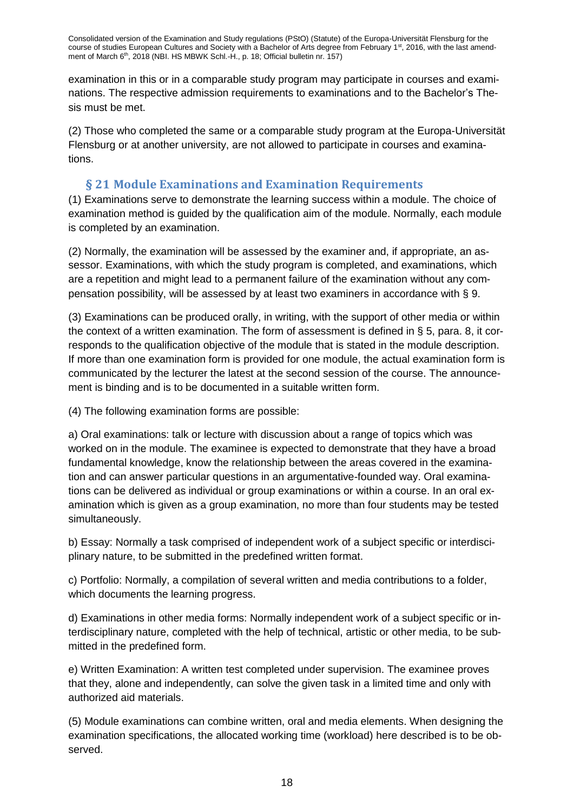examination in this or in a comparable study program may participate in courses and examinations. The respective admission requirements to examinations and to the Bachelor's Thesis must be met.

(2) Those who completed the same or a comparable study program at the Europa-Universität Flensburg or at another university, are not allowed to participate in courses and examinations.

### **§ 21 Module Examinations and Examination Requirements**

<span id="page-17-0"></span>(1) Examinations serve to demonstrate the learning success within a module. The choice of examination method is guided by the qualification aim of the module. Normally, each module is completed by an examination.

(2) Normally, the examination will be assessed by the examiner and, if appropriate, an assessor. Examinations, with which the study program is completed, and examinations, which are a repetition and might lead to a permanent failure of the examination without any compensation possibility, will be assessed by at least two examiners in accordance with § 9.

(3) Examinations can be produced orally, in writing, with the support of other media or within the context of a written examination. The form of assessment is defined in § 5, para. 8, it corresponds to the qualification objective of the module that is stated in the module description. If more than one examination form is provided for one module, the actual examination form is communicated by the lecturer the latest at the second session of the course. The announcement is binding and is to be documented in a suitable written form.

(4) The following examination forms are possible:

a) Oral examinations: talk or lecture with discussion about a range of topics which was worked on in the module. The examinee is expected to demonstrate that they have a broad fundamental knowledge, know the relationship between the areas covered in the examination and can answer particular questions in an argumentative-founded way. Oral examinations can be delivered as individual or group examinations or within a course. In an oral examination which is given as a group examination, no more than four students may be tested simultaneously.

b) Essay: Normally a task comprised of independent work of a subject specific or interdisciplinary nature, to be submitted in the predefined written format.

c) Portfolio: Normally, a compilation of several written and media contributions to a folder, which documents the learning progress.

d) Examinations in other media forms: Normally independent work of a subject specific or interdisciplinary nature, completed with the help of technical, artistic or other media, to be submitted in the predefined form.

e) Written Examination: A written test completed under supervision. The examinee proves that they, alone and independently, can solve the given task in a limited time and only with authorized aid materials.

(5) Module examinations can combine written, oral and media elements. When designing the examination specifications, the allocated working time (workload) here described is to be observed.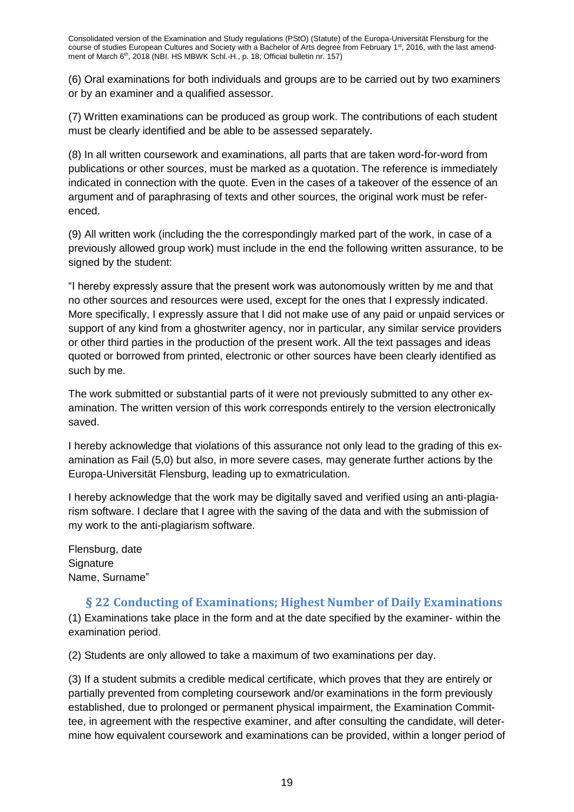(6) Oral examinations for both individuals and groups are to be carried out by two examiners or by an examiner and a qualified assessor.

(7) Written examinations can be produced as group work. The contributions of each student must be clearly identified and be able to be assessed separately.

(8) In all written coursework and examinations, all parts that are taken word-for-word from publications or other sources, must be marked as a quotation. The reference is immediately indicated in connection with the quote. Even in the cases of a takeover of the essence of an argument and of paraphrasing of texts and other sources, the original work must be referenced.

(9) All written work (including the the correspondingly marked part of the work, in case of a previously allowed group work) must include in the end the following written assurance, to be signed by the student:

"I hereby expressly assure that the present work was autonomously written by me and that no other sources and resources were used, except for the ones that I expressly indicated. More specifically, I expressly assure that I did not make use of any paid or unpaid services or support of any kind from a ghostwriter agency, nor in particular, any similar service providers or other third parties in the production of the present work. All the text passages and ideas quoted or borrowed from printed, electronic or other sources have been clearly identified as such by me.

The work submitted or substantial parts of it were not previously submitted to any other examination. The written version of this work corresponds entirely to the version electronically saved.

I hereby acknowledge that violations of this assurance not only lead to the grading of this examination as Fail (5,0) but also, in more severe cases, may generate further actions by the Europa-Universität Flensburg, leading up to exmatriculation.

I hereby acknowledge that the work may be digitally saved and verified using an anti-plagiarism software. I declare that I agree with the saving of the data and with the submission of my work to the anti-plagiarism software.

Flensburg, date **Signature** Name, Surname"

# <span id="page-18-0"></span>**§ 22 Conducting of Examinations; Highest Number of Daily Examinations**

(1) Examinations take place in the form and at the date specified by the examiner- within the examination period.

(2) Students are only allowed to take a maximum of two examinations per day.

(3) If a student submits a credible medical certificate, which proves that they are entirely or partially prevented from completing coursework and/or examinations in the form previously established, due to prolonged or permanent physical impairment, the Examination Committee, in agreement with the respective examiner, and after consulting the candidate, will determine how equivalent coursework and examinations can be provided, within a longer period of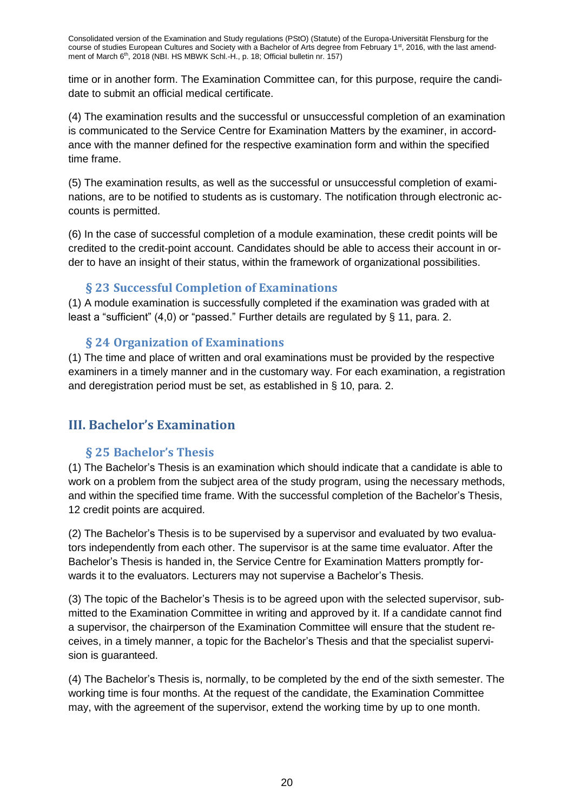time or in another form. The Examination Committee can, for this purpose, require the candidate to submit an official medical certificate.

(4) The examination results and the successful or unsuccessful completion of an examination is communicated to the Service Centre for Examination Matters by the examiner, in accordance with the manner defined for the respective examination form and within the specified time frame.

(5) The examination results, as well as the successful or unsuccessful completion of examinations, are to be notified to students as is customary. The notification through electronic accounts is permitted.

(6) In the case of successful completion of a module examination, these credit points will be credited to the credit-point account. Candidates should be able to access their account in order to have an insight of their status, within the framework of organizational possibilities.

#### **§ 23 Successful Completion of Examinations**

<span id="page-19-0"></span>(1) A module examination is successfully completed if the examination was graded with at least a "sufficient" (4,0) or "passed." Further details are regulated by § 11, para. 2.

#### **§ 24 Organization of Examinations**

<span id="page-19-1"></span>(1) The time and place of written and oral examinations must be provided by the respective examiners in a timely manner and in the customary way. For each examination, a registration and deregistration period must be set, as established in § 10, para. 2.

# <span id="page-19-3"></span><span id="page-19-2"></span>**III. Bachelor's Examination**

#### **§ 25 Bachelor's Thesis**

(1) The Bachelor's Thesis is an examination which should indicate that a candidate is able to work on a problem from the subject area of the study program, using the necessary methods, and within the specified time frame. With the successful completion of the Bachelor's Thesis, 12 credit points are acquired.

(2) The Bachelor's Thesis is to be supervised by a supervisor and evaluated by two evaluators independently from each other. The supervisor is at the same time evaluator. After the Bachelor's Thesis is handed in, the Service Centre for Examination Matters promptly forwards it to the evaluators. Lecturers may not supervise a Bachelor's Thesis.

(3) The topic of the Bachelor's Thesis is to be agreed upon with the selected supervisor, submitted to the Examination Committee in writing and approved by it. If a candidate cannot find a supervisor, the chairperson of the Examination Committee will ensure that the student receives, in a timely manner, a topic for the Bachelor's Thesis and that the specialist supervision is guaranteed.

(4) The Bachelor's Thesis is, normally, to be completed by the end of the sixth semester. The working time is four months. At the request of the candidate, the Examination Committee may, with the agreement of the supervisor, extend the working time by up to one month.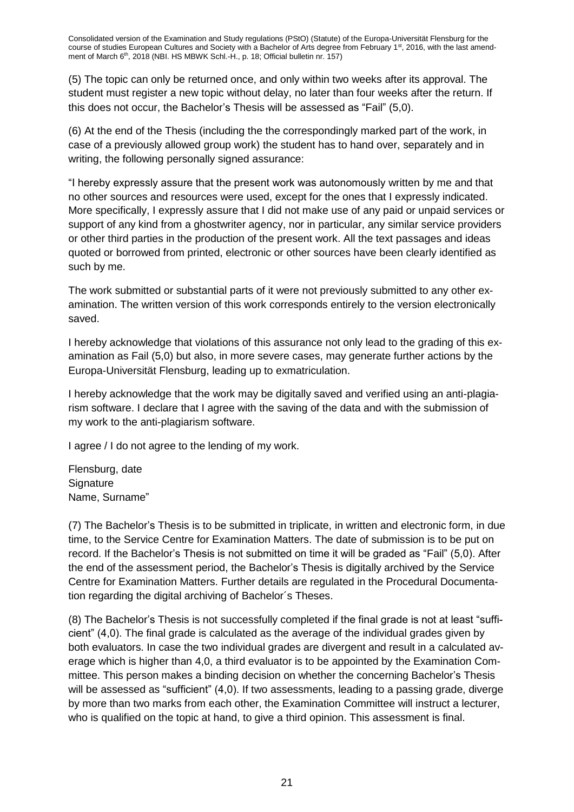(5) The topic can only be returned once, and only within two weeks after its approval. The student must register a new topic without delay, no later than four weeks after the return. If this does not occur, the Bachelor's Thesis will be assessed as "Fail" (5,0).

(6) At the end of the Thesis (including the the correspondingly marked part of the work, in case of a previously allowed group work) the student has to hand over, separately and in writing, the following personally signed assurance:

"I hereby expressly assure that the present work was autonomously written by me and that no other sources and resources were used, except for the ones that I expressly indicated. More specifically, I expressly assure that I did not make use of any paid or unpaid services or support of any kind from a ghostwriter agency, nor in particular, any similar service providers or other third parties in the production of the present work. All the text passages and ideas quoted or borrowed from printed, electronic or other sources have been clearly identified as such by me.

The work submitted or substantial parts of it were not previously submitted to any other examination. The written version of this work corresponds entirely to the version electronically saved.

I hereby acknowledge that violations of this assurance not only lead to the grading of this examination as Fail (5,0) but also, in more severe cases, may generate further actions by the Europa-Universität Flensburg, leading up to exmatriculation.

I hereby acknowledge that the work may be digitally saved and verified using an anti-plagiarism software. I declare that I agree with the saving of the data and with the submission of my work to the anti-plagiarism software.

I agree / I do not agree to the lending of my work.

Flensburg, date **Signature** Name, Surname"

(7) The Bachelor's Thesis is to be submitted in triplicate, in written and electronic form, in due time, to the Service Centre for Examination Matters. The date of submission is to be put on record. If the Bachelor's Thesis is not submitted on time it will be graded as "Fail" (5,0). After the end of the assessment period, the Bachelor's Thesis is digitally archived by the Service Centre for Examination Matters. Further details are regulated in the Procedural Documentation regarding the digital archiving of Bachelor´s Theses.

(8) The Bachelor's Thesis is not successfully completed if the final grade is not at least "sufficient" (4,0). The final grade is calculated as the average of the individual grades given by both evaluators. In case the two individual grades are divergent and result in a calculated average which is higher than 4,0, a third evaluator is to be appointed by the Examination Committee. This person makes a binding decision on whether the concerning Bachelor's Thesis will be assessed as "sufficient" (4,0). If two assessments, leading to a passing grade, diverge by more than two marks from each other, the Examination Committee will instruct a lecturer, who is qualified on the topic at hand, to give a third opinion. This assessment is final.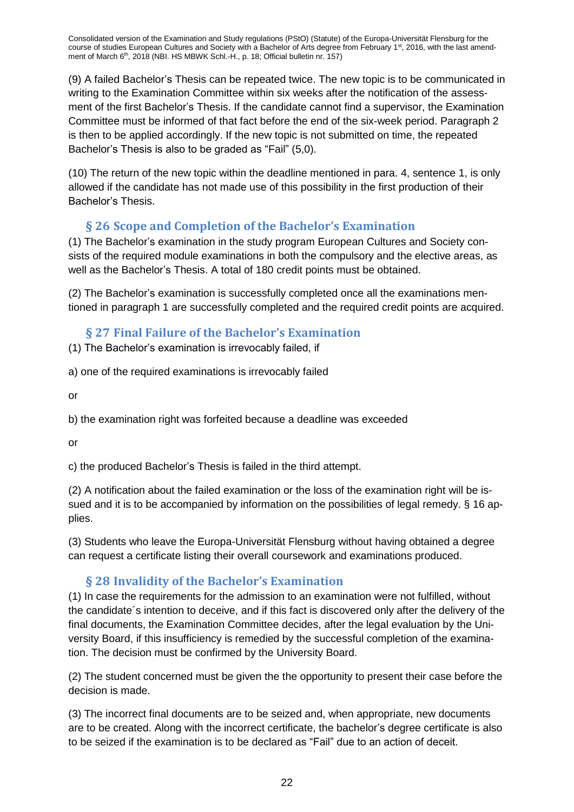(9) A failed Bachelor's Thesis can be repeated twice. The new topic is to be communicated in writing to the Examination Committee within six weeks after the notification of the assessment of the first Bachelor's Thesis. If the candidate cannot find a supervisor, the Examination Committee must be informed of that fact before the end of the six-week period. Paragraph 2 is then to be applied accordingly. If the new topic is not submitted on time, the repeated Bachelor's Thesis is also to be graded as "Fail" (5,0).

(10) The return of the new topic within the deadline mentioned in para. 4, sentence 1, is only allowed if the candidate has not made use of this possibility in the first production of their Bachelor's Thesis.

# **§ 26 Scope and Completion of the Bachelor's Examination**

<span id="page-21-0"></span>(1) The Bachelor's examination in the study program European Cultures and Society consists of the required module examinations in both the compulsory and the elective areas, as well as the Bachelor's Thesis. A total of 180 credit points must be obtained.

(2) The Bachelor's examination is successfully completed once all the examinations mentioned in paragraph 1 are successfully completed and the required credit points are acquired.

# **§ 27 Final Failure of the Bachelor's Examination**

<span id="page-21-1"></span>(1) The Bachelor's examination is irrevocably failed, if

a) one of the required examinations is irrevocably failed

or

b) the examination right was forfeited because a deadline was exceeded

or

c) the produced Bachelor's Thesis is failed in the third attempt.

(2) A notification about the failed examination or the loss of the examination right will be issued and it is to be accompanied by information on the possibilities of legal remedy. § 16 applies.

(3) Students who leave the Europa-Universität Flensburg without having obtained a degree can request a certificate listing their overall coursework and examinations produced.

# **§ 28 Invalidity of the Bachelor's Examination**

<span id="page-21-2"></span>(1) In case the requirements for the admission to an examination were not fulfilled, without the candidate´s intention to deceive, and if this fact is discovered only after the delivery of the final documents, the Examination Committee decides, after the legal evaluation by the University Board, if this insufficiency is remedied by the successful completion of the examination. The decision must be confirmed by the University Board.

(2) The student concerned must be given the the opportunity to present their case before the decision is made.

(3) The incorrect final documents are to be seized and, when appropriate, new documents are to be created. Along with the incorrect certificate, the bachelor's degree certificate is also to be seized if the examination is to be declared as "Fail" due to an action of deceit.